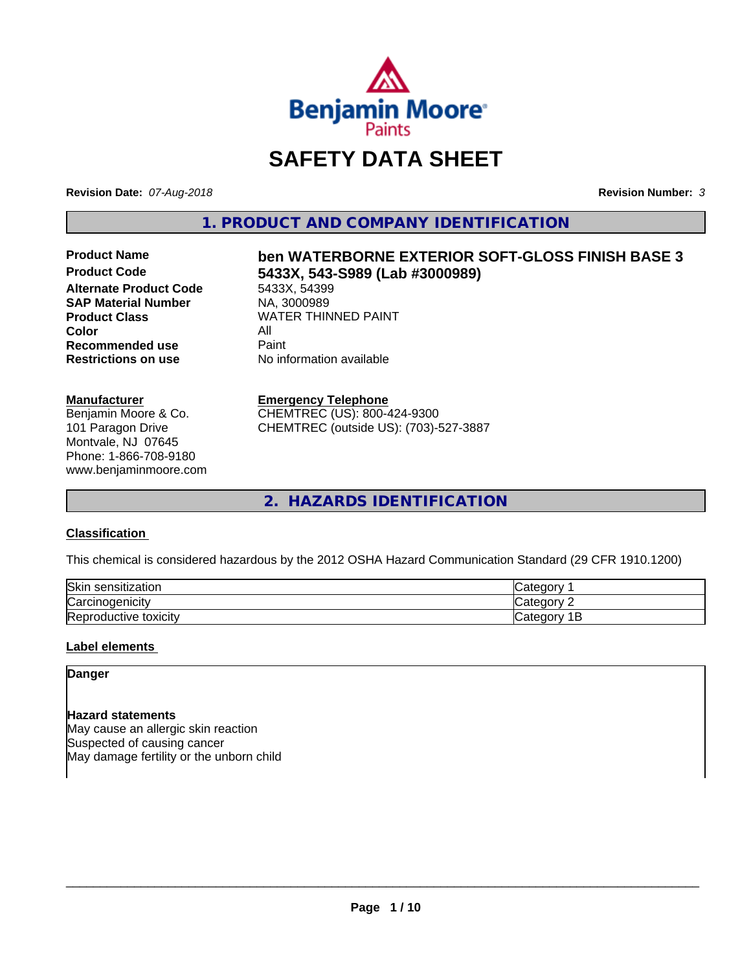

# **SAFETY DATA SHEET**

**Revision Date:** *07-Aug-2018* **Revision Number:** *3*

**1. PRODUCT AND COMPANY IDENTIFICATION**

**Alternate Product Code** 5433X, 54399<br> **SAP Material Number** NA, 3000989 **SAP Material Number Color** All **Recommended use** Paint

#### **Manufacturer**

Benjamin Moore & Co. 101 Paragon Drive Montvale, NJ 07645 Phone: 1-866-708-9180 www.benjaminmoore.com

# Product Name **ben WATERBORNE EXTERIOR SOFT-GLOSS FINISH BASE 3**<br>Product Code **62333 5433X 543-S989 (Lab #3000989) Product Code 5433X, 543-S989 (Lab #3000989)**

**Product Class** WATER THINNED PAINT<br>
Color **Restrictions on use** No information available

### **Emergency Telephone**

CHEMTREC (US): 800-424-9300 CHEMTREC (outside US): (703)-527-3887

**2. HAZARDS IDENTIFICATION**

### **Classification**

This chemical is considered hazardous by the 2012 OSHA Hazard Communication Standard (29 CFR 1910.1200)

| Skir<br>$+70+10n$<br>sen<br>nsitization |        |
|-----------------------------------------|--------|
| ∼<br>√ar⁄<br>…∪aenicit∨                 | 10     |
| Repr<br>toxicity<br>oductive            | <br>ــ |

#### **Label elements**

## **Danger**

#### **Hazard statements**

May cause an allergic skin reaction Suspected of causing cancer May damage fertility or the unborn child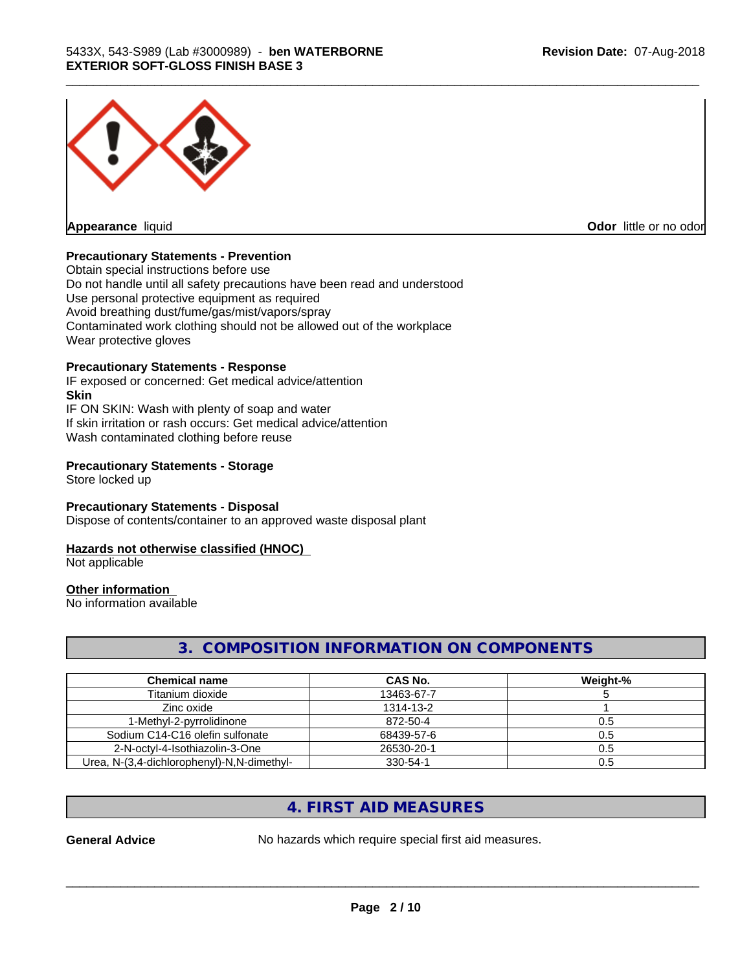

**Appearance** liquid

**Odor** little or no odor

#### **Precautionary Statements - Prevention**

Obtain special instructions before use Do not handle until all safety precautions have been read and understood Use personal protective equipment as required Avoid breathing dust/fume/gas/mist/vapors/spray Contaminated work clothing should not be allowed out of the workplace Wear protective gloves

#### **Precautionary Statements - Response**

IF exposed or concerned: Get medical advice/attention **Skin** IF ON SKIN: Wash with plenty of soap and water If skin irritation or rash occurs: Get medical advice/attention Wash contaminated clothing before reuse

#### **Precautionary Statements - Storage**

Store locked up

### **Precautionary Statements - Disposal**

Dispose of contents/container to an approved waste disposal plant

#### **Hazards not otherwise classified (HNOC)**

Not applicable

#### **Other information**

No information available

# **3. COMPOSITION INFORMATION ON COMPONENTS**

\_\_\_\_\_\_\_\_\_\_\_\_\_\_\_\_\_\_\_\_\_\_\_\_\_\_\_\_\_\_\_\_\_\_\_\_\_\_\_\_\_\_\_\_\_\_\_\_\_\_\_\_\_\_\_\_\_\_\_\_\_\_\_\_\_\_\_\_\_\_\_\_\_\_\_\_\_\_\_\_\_\_\_\_\_\_\_\_\_\_\_\_\_

| <b>Chemical name</b>                       | CAS No.    | Weight-% |
|--------------------------------------------|------------|----------|
| Titanium dioxide                           | 13463-67-7 |          |
| Zinc oxide                                 | 1314-13-2  |          |
| 1-Methyl-2-pyrrolidinone                   | 872-50-4   | 0.5      |
| Sodium C14-C16 olefin sulfonate            | 68439-57-6 | 0.5      |
| 2-N-octyl-4-Isothiazolin-3-One             | 26530-20-1 | 0.5      |
| Urea, N-(3,4-dichlorophenyl)-N,N-dimethyl- | 330-54-1   | 0.5      |

# **4. FIRST AID MEASURES**

General Advice **No hazards which require special first aid measures.**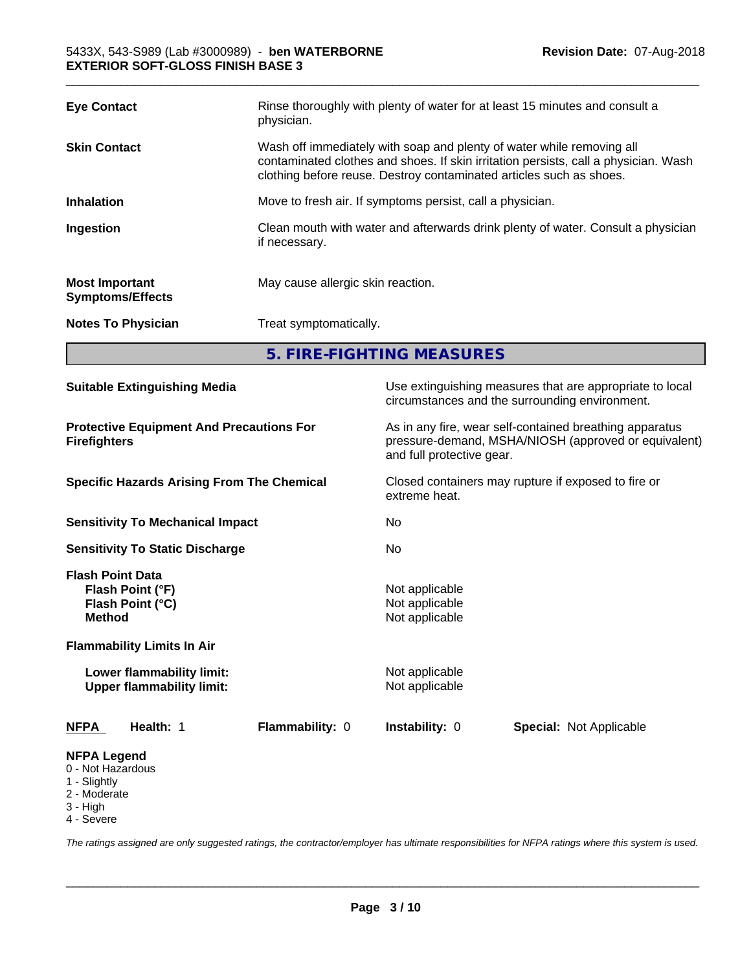| Wash off immediately with soap and plenty of water while removing all<br><b>Skin Contact</b><br>contaminated clothes and shoes. If skin irritation persists, call a physician. Wash<br>clothing before reuse. Destroy contaminated articles such as shoes.<br><b>Inhalation</b><br>Move to fresh air. If symptoms persist, call a physician.<br>Clean mouth with water and afterwards drink plenty of water. Consult a physician<br>Ingestion<br>if necessary.<br>May cause allergic skin reaction.<br><b>Most Important</b><br><b>Symptoms/Effects</b><br>Treat symptomatically.<br><b>Notes To Physician</b> | <b>Eye Contact</b> | Rinse thoroughly with plenty of water for at least 15 minutes and consult a<br>physician. |
|----------------------------------------------------------------------------------------------------------------------------------------------------------------------------------------------------------------------------------------------------------------------------------------------------------------------------------------------------------------------------------------------------------------------------------------------------------------------------------------------------------------------------------------------------------------------------------------------------------------|--------------------|-------------------------------------------------------------------------------------------|
|                                                                                                                                                                                                                                                                                                                                                                                                                                                                                                                                                                                                                |                    |                                                                                           |
|                                                                                                                                                                                                                                                                                                                                                                                                                                                                                                                                                                                                                |                    |                                                                                           |
|                                                                                                                                                                                                                                                                                                                                                                                                                                                                                                                                                                                                                |                    |                                                                                           |
|                                                                                                                                                                                                                                                                                                                                                                                                                                                                                                                                                                                                                |                    |                                                                                           |
|                                                                                                                                                                                                                                                                                                                                                                                                                                                                                                                                                                                                                |                    |                                                                                           |

\_\_\_\_\_\_\_\_\_\_\_\_\_\_\_\_\_\_\_\_\_\_\_\_\_\_\_\_\_\_\_\_\_\_\_\_\_\_\_\_\_\_\_\_\_\_\_\_\_\_\_\_\_\_\_\_\_\_\_\_\_\_\_\_\_\_\_\_\_\_\_\_\_\_\_\_\_\_\_\_\_\_\_\_\_\_\_\_\_\_\_\_\_

**5. FIRE-FIGHTING MEASURES**

| <b>Suitable Extinguishing Media</b>                                                                                   | Use extinguishing measures that are appropriate to local<br>circumstances and the surrounding environment.                                   |
|-----------------------------------------------------------------------------------------------------------------------|----------------------------------------------------------------------------------------------------------------------------------------------|
| <b>Protective Equipment And Precautions For</b><br><b>Firefighters</b>                                                | As in any fire, wear self-contained breathing apparatus<br>pressure-demand, MSHA/NIOSH (approved or equivalent)<br>and full protective gear. |
| <b>Specific Hazards Arising From The Chemical</b>                                                                     | Closed containers may rupture if exposed to fire or<br>extreme heat.                                                                         |
| <b>Sensitivity To Mechanical Impact</b>                                                                               | No.                                                                                                                                          |
| <b>Sensitivity To Static Discharge</b>                                                                                | No                                                                                                                                           |
| <b>Flash Point Data</b><br>Flash Point (°F)<br>Flash Point (°C)<br><b>Method</b><br><b>Flammability Limits In Air</b> | Not applicable<br>Not applicable<br>Not applicable                                                                                           |
| Lower flammability limit:<br><b>Upper flammability limit:</b>                                                         | Not applicable<br>Not applicable                                                                                                             |
| Flammability: 0<br><b>NFPA</b><br>Health: 1                                                                           | Instability: 0<br><b>Special: Not Applicable</b>                                                                                             |
| <b>NFPA Legend</b><br>0 - Not Hazardous<br>1 - Slightly<br>2 - Moderate<br>3 - High<br>4 - Severe                     |                                                                                                                                              |

*The ratings assigned are only suggested ratings, the contractor/employer has ultimate responsibilities for NFPA ratings where this system is used.*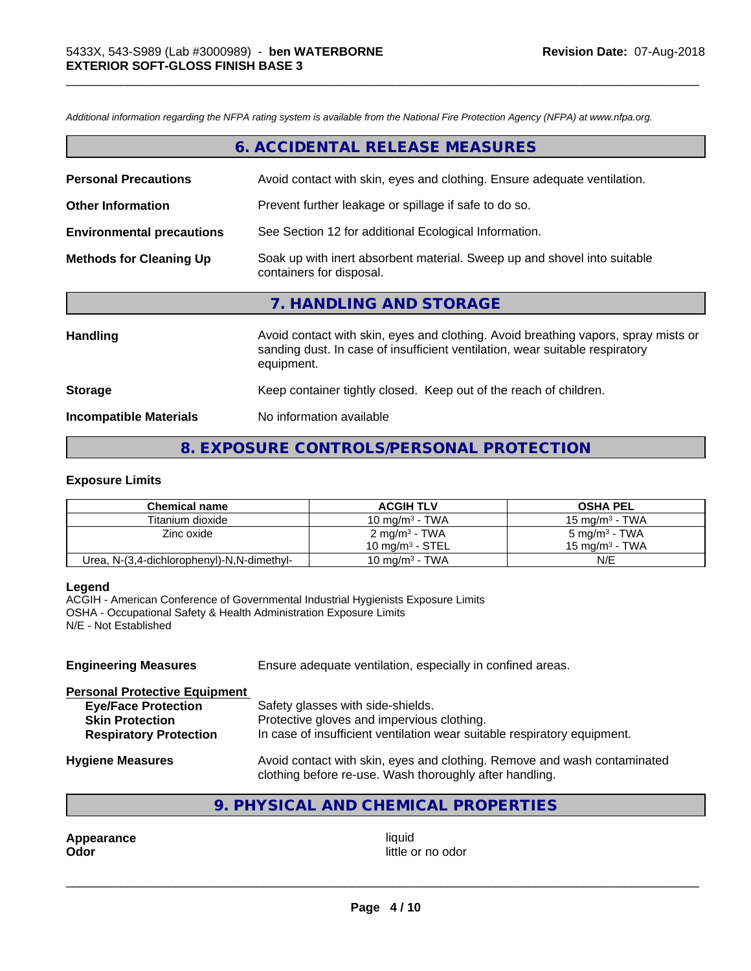*Additional information regarding the NFPA rating system is available from the National Fire Protection Agency (NFPA) at www.nfpa.org.*

|                                  | 6. ACCIDENTAL RELEASE MEASURES                                                                       |
|----------------------------------|------------------------------------------------------------------------------------------------------|
| <b>Personal Precautions</b>      | Avoid contact with skin, eyes and clothing. Ensure adequate ventilation.                             |
| <b>Other Information</b>         | Prevent further leakage or spillage if safe to do so.                                                |
| <b>Environmental precautions</b> | See Section 12 for additional Ecological Information.                                                |
| <b>Methods for Cleaning Up</b>   | Soak up with inert absorbent material. Sweep up and shovel into suitable<br>containers for disposal. |
|                                  | 7. HANDLING AND STORAGE                                                                              |
|                                  |                                                                                                      |

\_\_\_\_\_\_\_\_\_\_\_\_\_\_\_\_\_\_\_\_\_\_\_\_\_\_\_\_\_\_\_\_\_\_\_\_\_\_\_\_\_\_\_\_\_\_\_\_\_\_\_\_\_\_\_\_\_\_\_\_\_\_\_\_\_\_\_\_\_\_\_\_\_\_\_\_\_\_\_\_\_\_\_\_\_\_\_\_\_\_\_\_\_

| <b>Handling</b>               | Avoid contact with skin, eyes and clothing. Avoid breathing vapors, spray mists or<br>sanding dust. In case of insufficient ventilation, wear suitable respiratory<br>equipment. |
|-------------------------------|----------------------------------------------------------------------------------------------------------------------------------------------------------------------------------|
| <b>Storage</b>                | Keep container tightly closed. Keep out of the reach of children.                                                                                                                |
| <b>Incompatible Materials</b> | No information available                                                                                                                                                         |

# **8. EXPOSURE CONTROLS/PERSONAL PROTECTION**

#### **Exposure Limits**

| <b>Chemical name</b>                       | <b>ACGIH TLV</b>           | <b>OSHA PEL</b>          |
|--------------------------------------------|----------------------------|--------------------------|
| Titanium dioxide                           | 10 mg/m <sup>3</sup> - TWA | 15 mg/m $3$ - TWA        |
| Zinc oxide                                 | $2 \text{ mg/m}^3$ - TWA   | $5 \text{ mg/m}^3$ - TWA |
|                                            | 10 mg/m $3$ - STEL         | 15 mg/m $3$ - TWA        |
| Urea, N-(3,4-dichlorophenyl)-N,N-dimethyl- | 10 mg/m $3$ - TWA          | N/E                      |

#### **Legend**

ACGIH - American Conference of Governmental Industrial Hygienists Exposure Limits OSHA - Occupational Safety & Health Administration Exposure Limits N/E - Not Established

**Engineering Measures** Ensure adequate ventilation, especially in confined areas.

| <b>Personal Protective Equipment</b> |                                                                                                                                     |
|--------------------------------------|-------------------------------------------------------------------------------------------------------------------------------------|
| <b>Eye/Face Protection</b>           | Safety glasses with side-shields.                                                                                                   |
| <b>Skin Protection</b>               | Protective gloves and impervious clothing.                                                                                          |
| <b>Respiratory Protection</b>        | In case of insufficient ventilation wear suitable respiratory equipment.                                                            |
| <b>Hygiene Measures</b>              | Avoid contact with skin, eyes and clothing. Remove and wash contaminated<br>clothing before re-use. Wash thoroughly after handling. |

# **9. PHYSICAL AND CHEMICAL PROPERTIES**

**Appearance** liquid **and a limitation of the contract of the contract of the contract of the contract of the contract of the contract of the contract of the contract of the contract of the contract of the contract of the c** 

little or no odor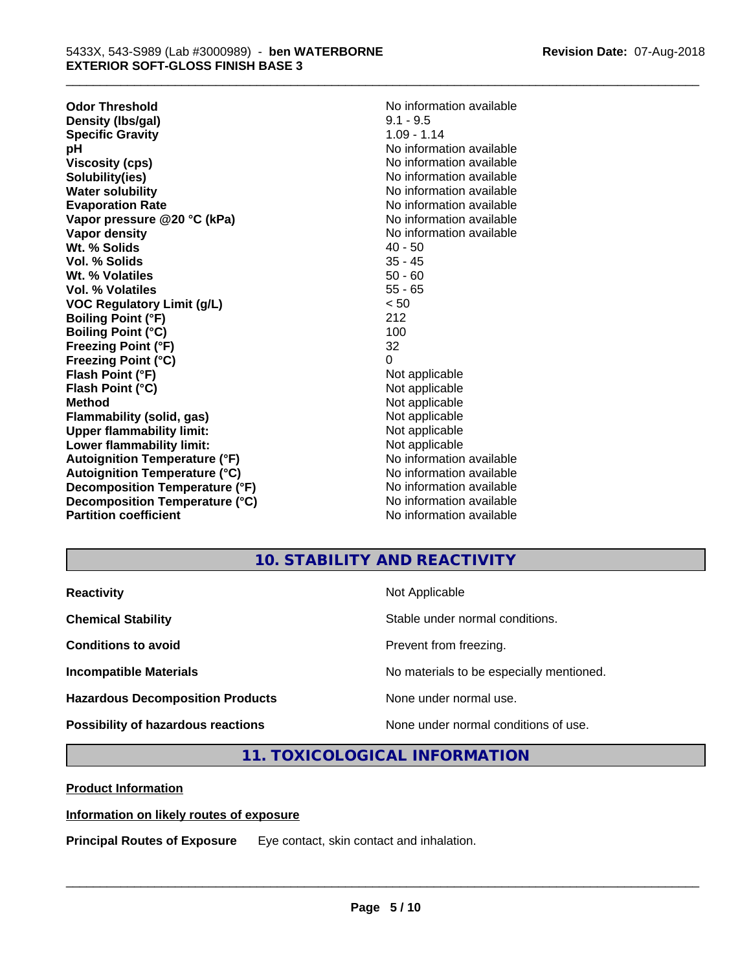**Odor Threshold**<br> **Density (Ibs/aal)**<br> **Density (Ibs/aal)**<br> **No information available**<br>  $9.1 - 9.5$ **Density (Ibs/gal)** 9.1 - 9.5<br> **Specific Gravity** 1.09 - 1.14 **Specific Gravity**<br>pH **Viscosity (cps)** No information available in the Viscosity (cps) **Solubility(ies)** No information available **Water solubility** No information available **Evaporation Rate No information available No information available Vapor pressure @20 °C (kPa)** No information available **Vapor density**  $\blacksquare$  No information available **Wt. % Solids** 40 - 50<br> **Vol. % Solids** 35 - 45 **Vol. % Solids Wt. % Volatiles** 50 - 60<br> **Vol. % Volatiles** 55 - 65 **Vol. % Volatiles VOC Regulatory Limit (g/L)** < 50 **Boiling Point (°F)** 212 **Boiling Point (°C) Freezing Point (°F)** 32 **Freezing Point (°C)** 0 **Flash Point (°F)** Not applicable **Flash Point (°C)** Not applicable **Method**<br> **Flammability (solid, gas)**<br> **Example 2018** Not applicable **Flammability (solid, gas)**<br> **Upper flammability limit:**<br>
Upper flammability limit: **Upper flammability limit:**<br> **Lower flammability limit:**<br>
Not applicable<br>
Not applicable **Lower flammability limit:**<br> **Autoignition Temperature (°F)**<br>
Mo information available **Autoignition Temperature (°F) Autoignition Temperature (°C)** No information available **Decomposition Temperature (°F)** No information available **Decomposition Temperature (°C)** No information available **Partition coefficient** and the settlement of the Non-Information available

**No information available** 

\_\_\_\_\_\_\_\_\_\_\_\_\_\_\_\_\_\_\_\_\_\_\_\_\_\_\_\_\_\_\_\_\_\_\_\_\_\_\_\_\_\_\_\_\_\_\_\_\_\_\_\_\_\_\_\_\_\_\_\_\_\_\_\_\_\_\_\_\_\_\_\_\_\_\_\_\_\_\_\_\_\_\_\_\_\_\_\_\_\_\_\_\_

# **10. STABILITY AND REACTIVITY**

| <b>Reactivity</b>                         | Not Applicable                           |
|-------------------------------------------|------------------------------------------|
| <b>Chemical Stability</b>                 | Stable under normal conditions.          |
| <b>Conditions to avoid</b>                | Prevent from freezing.                   |
| <b>Incompatible Materials</b>             | No materials to be especially mentioned. |
| <b>Hazardous Decomposition Products</b>   | None under normal use.                   |
| <b>Possibility of hazardous reactions</b> | None under normal conditions of use.     |

# **11. TOXICOLOGICAL INFORMATION**

**Product Information**

#### **Information on likely routes of exposure**

**Principal Routes of Exposure** Eye contact, skin contact and inhalation.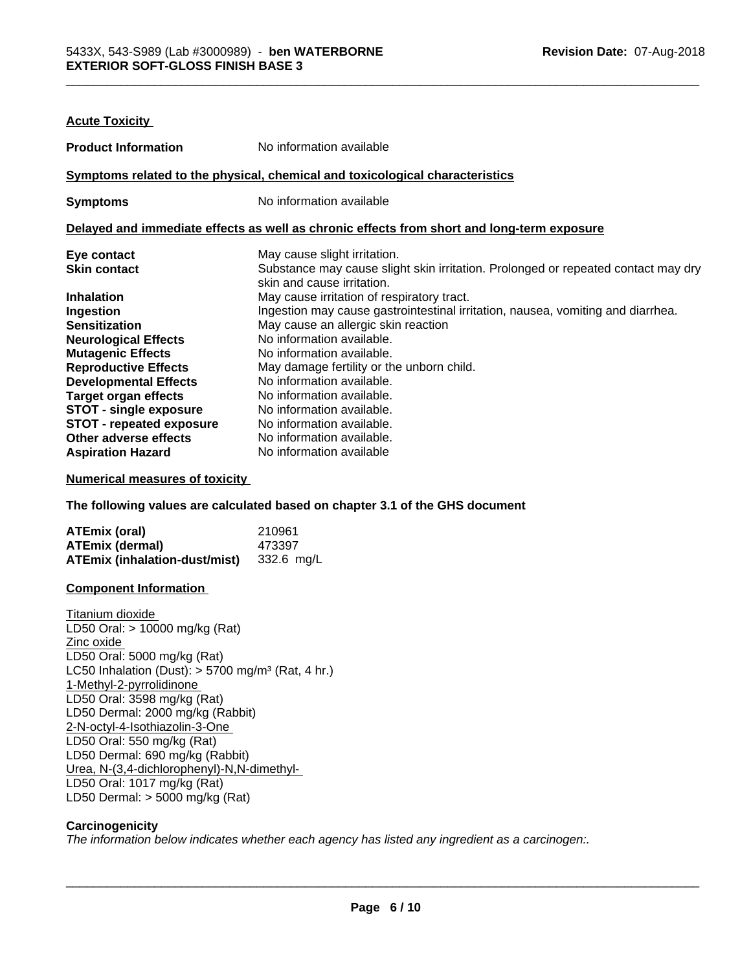| <b>Acute Toxicity</b>                                                                                                  |                                                                                                                                                                      |
|------------------------------------------------------------------------------------------------------------------------|----------------------------------------------------------------------------------------------------------------------------------------------------------------------|
| <b>Product Information</b>                                                                                             | No information available                                                                                                                                             |
|                                                                                                                        | Symptoms related to the physical, chemical and toxicological characteristics                                                                                         |
| <b>Symptoms</b>                                                                                                        | No information available                                                                                                                                             |
|                                                                                                                        | Delayed and immediate effects as well as chronic effects from short and long-term exposure                                                                           |
| Eye contact<br><b>Skin contact</b>                                                                                     | May cause slight irritation.<br>Substance may cause slight skin irritation. Prolonged or repeated contact may dry<br>skin and cause irritation.                      |
| <b>Inhalation</b><br>Ingestion<br><b>Sensitization</b>                                                                 | May cause irritation of respiratory tract.<br>Ingestion may cause gastrointestinal irritation, nausea, vomiting and diarrhea.<br>May cause an allergic skin reaction |
| <b>Neurological Effects</b><br><b>Mutagenic Effects</b><br><b>Reproductive Effects</b><br><b>Developmental Effects</b> | No information available.<br>No information available.<br>May damage fertility or the unborn child.<br>No information available.                                     |
| <b>Target organ effects</b><br><b>STOT - single exposure</b><br><b>STOT - repeated exposure</b>                        | No information available.<br>No information available.<br>No information available.                                                                                  |
| Other adverse effects<br><b>Aspiration Hazard</b>                                                                      | No information available.<br>No information available                                                                                                                |

#### **Numerical measures of toxicity**

**The following values are calculated based on chapter 3.1 of the GHS document**

| <b>ATEmix (oral)</b>                 | 210961     |
|--------------------------------------|------------|
| <b>ATEmix (dermal)</b>               | 473397     |
| <b>ATEmix (inhalation-dust/mist)</b> | 332.6 mg/L |

#### **Component Information**

Titanium dioxide LD50 Oral: > 10000 mg/kg (Rat) Zinc oxide LD50 Oral: 5000 mg/kg (Rat) LC50 Inhalation (Dust):  $> 5700$  mg/m<sup>3</sup> (Rat, 4 hr.) 1-Methyl-2-pyrrolidinone LD50 Oral: 3598 mg/kg (Rat) LD50 Dermal: 2000 mg/kg (Rabbit) 2-N-octyl-4-Isothiazolin-3-One LD50 Oral: 550 mg/kg (Rat) LD50 Dermal: 690 mg/kg (Rabbit) Urea, N-(3,4-dichlorophenyl)-N,N-dimethyl- LD50 Oral: 1017 mg/kg (Rat) LD50 Dermal: > 5000 mg/kg (Rat)

#### **Carcinogenicity**

*The information below indicateswhether each agency has listed any ingredient as a carcinogen:.*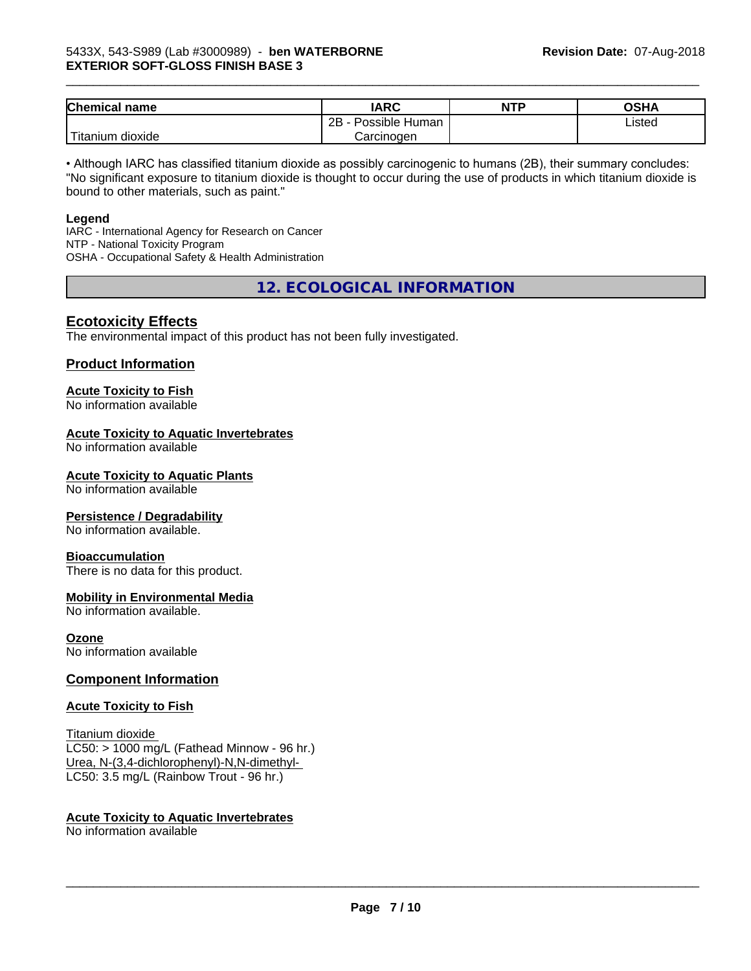| <b>Chemical</b><br>name        | <b>IARC</b>          | <b>NTP</b> | OSHA   |
|--------------------------------|----------------------|------------|--------|
|                                | Possible Human<br>2B |            | Listed |
| $\mathbf{r}$<br>tanium dioxide | Carcinogen           |            |        |

\_\_\_\_\_\_\_\_\_\_\_\_\_\_\_\_\_\_\_\_\_\_\_\_\_\_\_\_\_\_\_\_\_\_\_\_\_\_\_\_\_\_\_\_\_\_\_\_\_\_\_\_\_\_\_\_\_\_\_\_\_\_\_\_\_\_\_\_\_\_\_\_\_\_\_\_\_\_\_\_\_\_\_\_\_\_\_\_\_\_\_\_\_

• Although IARC has classified titanium dioxide as possibly carcinogenic to humans (2B), their summary concludes: "No significant exposure to titanium dioxide is thought to occur during the use of products in which titanium dioxide is bound to other materials, such as paint."

#### **Legend**

IARC - International Agency for Research on Cancer NTP - National Toxicity Program OSHA - Occupational Safety & Health Administration

**12. ECOLOGICAL INFORMATION**

#### **Ecotoxicity Effects**

The environmental impact of this product has not been fully investigated.

#### **Product Information**

# **Acute Toxicity to Fish**

No information available

#### **Acute Toxicity to Aquatic Invertebrates**

No information available

#### **Acute Toxicity to Aquatic Plants**

No information available

#### **Persistence / Degradability**

No information available.

#### **Bioaccumulation**

There is no data for this product.

#### **Mobility in Environmental Media**

No information available.

#### **Ozone**

No information available

#### **Component Information**

#### **Acute Toxicity to Fish**

Titanium dioxide  $LC50:$  > 1000 mg/L (Fathead Minnow - 96 hr.) Urea, N-(3,4-dichlorophenyl)-N,N-dimethyl- LC50: 3.5 mg/L (Rainbow Trout - 96 hr.)

#### **Acute Toxicity to Aquatic Invertebrates**

No information available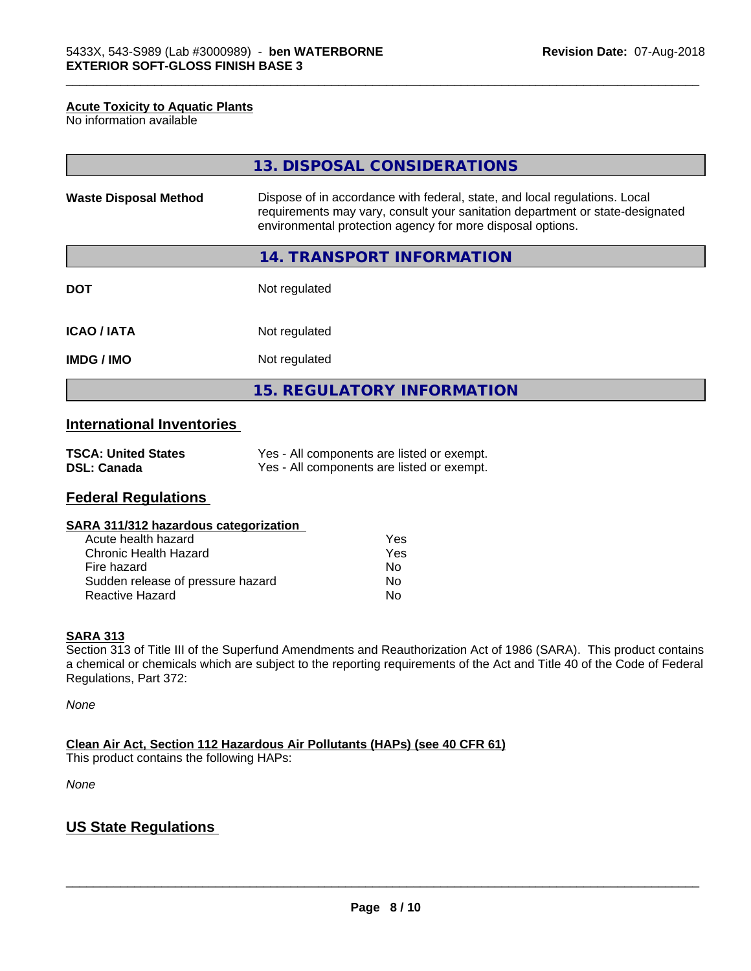#### **Acute Toxicity to Aquatic Plants**

No information available

|                              | 13. DISPOSAL CONSIDERATIONS                                                                                                                                                                                               |  |
|------------------------------|---------------------------------------------------------------------------------------------------------------------------------------------------------------------------------------------------------------------------|--|
| <b>Waste Disposal Method</b> | Dispose of in accordance with federal, state, and local regulations. Local<br>requirements may vary, consult your sanitation department or state-designated<br>environmental protection agency for more disposal options. |  |
|                              | 14. TRANSPORT INFORMATION                                                                                                                                                                                                 |  |
| <b>DOT</b>                   | Not regulated                                                                                                                                                                                                             |  |
| <b>ICAO/IATA</b>             | Not regulated                                                                                                                                                                                                             |  |
| <b>IMDG / IMO</b>            | Not regulated                                                                                                                                                                                                             |  |
|                              | <b>15. REGULATORY INFORMATION</b>                                                                                                                                                                                         |  |

\_\_\_\_\_\_\_\_\_\_\_\_\_\_\_\_\_\_\_\_\_\_\_\_\_\_\_\_\_\_\_\_\_\_\_\_\_\_\_\_\_\_\_\_\_\_\_\_\_\_\_\_\_\_\_\_\_\_\_\_\_\_\_\_\_\_\_\_\_\_\_\_\_\_\_\_\_\_\_\_\_\_\_\_\_\_\_\_\_\_\_\_\_

# **International Inventories**

| <b>TSCA: United States</b> | Yes - All components are listed or exempt. |
|----------------------------|--------------------------------------------|
| <b>DSL: Canada</b>         | Yes - All components are listed or exempt. |

# **Federal Regulations**

| SARA 311/312 hazardous categorization |
|---------------------------------------|
|---------------------------------------|

| Acute health hazard               | Yes |
|-----------------------------------|-----|
| Chronic Health Hazard             | Yes |
| Fire hazard                       | Nο  |
| Sudden release of pressure hazard | Nο  |
| Reactive Hazard                   | N٥  |

#### **SARA 313**

Section 313 of Title III of the Superfund Amendments and Reauthorization Act of 1986 (SARA). This product contains a chemical or chemicals which are subject to the reporting requirements of the Act and Title 40 of the Code of Federal Regulations, Part 372:

*None*

**Clean Air Act,Section 112 Hazardous Air Pollutants (HAPs) (see 40 CFR 61)**

This product contains the following HAPs:

*None*

# **US State Regulations**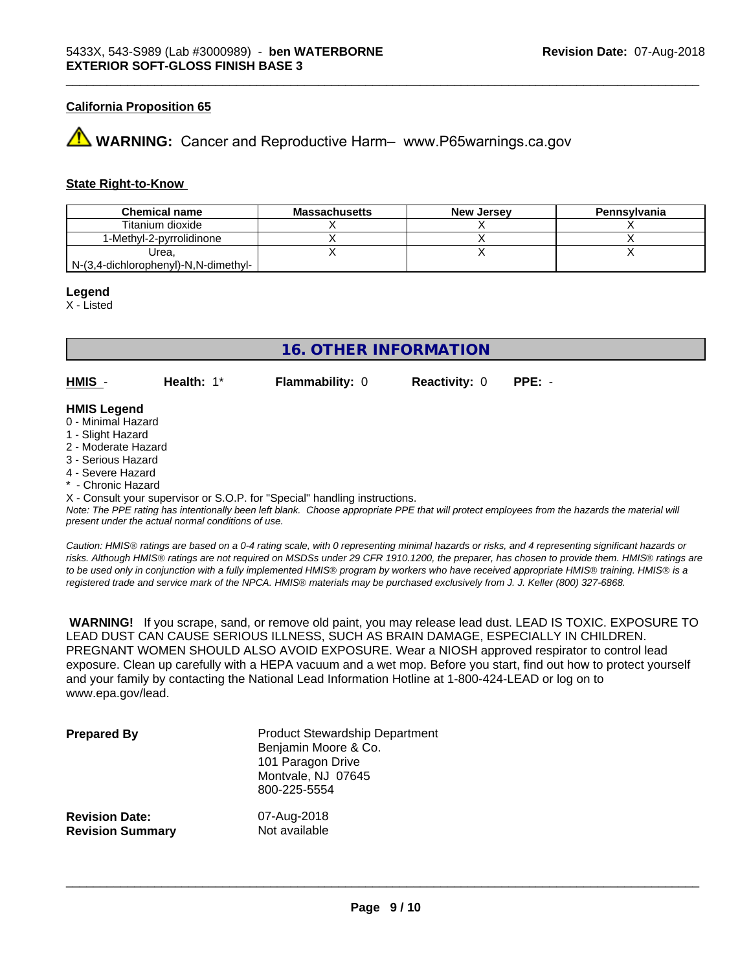#### **California Proposition 65**

# **AN** WARNING: Cancer and Reproductive Harm– www.P65warnings.ca.gov

#### **State Right-to-Know**

| <b>Chemical name</b>                 | <b>Massachusetts</b> | New Jersey | Pennsylvania |
|--------------------------------------|----------------------|------------|--------------|
| Titanium dioxide                     |                      |            |              |
| 1-Methvl-2-pvrrolidinone             |                      |            |              |
| Urea.                                |                      |            |              |
| N-(3,4-dichlorophenyl)-N,N-dimethyl- |                      |            |              |

#### **Legend**

X - Listed

# **16. OTHER INFORMATION**

**HMIS** - **Health:** 1\* **Flammability:** 0 **Reactivity:** 0 **PPE:** -

\_\_\_\_\_\_\_\_\_\_\_\_\_\_\_\_\_\_\_\_\_\_\_\_\_\_\_\_\_\_\_\_\_\_\_\_\_\_\_\_\_\_\_\_\_\_\_\_\_\_\_\_\_\_\_\_\_\_\_\_\_\_\_\_\_\_\_\_\_\_\_\_\_\_\_\_\_\_\_\_\_\_\_\_\_\_\_\_\_\_\_\_\_

#### **HMIS Legend**

- 0 Minimal Hazard
- 1 Slight Hazard
- 2 Moderate Hazard
- 3 Serious Hazard
- 4 Severe Hazard
- \* Chronic Hazard

X - Consult your supervisor or S.O.P. for "Special" handling instructions.

*Note: The PPE rating has intentionally been left blank. Choose appropriate PPE that will protect employees from the hazards the material will present under the actual normal conditions of use.*

*Caution: HMISÒ ratings are based on a 0-4 rating scale, with 0 representing minimal hazards or risks, and 4 representing significant hazards or risks. Although HMISÒ ratings are not required on MSDSs under 29 CFR 1910.1200, the preparer, has chosen to provide them. HMISÒ ratings are to be used only in conjunction with a fully implemented HMISÒ program by workers who have received appropriate HMISÒ training. HMISÒ is a registered trade and service mark of the NPCA. HMISÒ materials may be purchased exclusively from J. J. Keller (800) 327-6868.*

 **WARNING!** If you scrape, sand, or remove old paint, you may release lead dust. LEAD IS TOXIC. EXPOSURE TO LEAD DUST CAN CAUSE SERIOUS ILLNESS, SUCH AS BRAIN DAMAGE, ESPECIALLY IN CHILDREN. PREGNANT WOMEN SHOULD ALSO AVOID EXPOSURE.Wear a NIOSH approved respirator to control lead exposure. Clean up carefully with a HEPA vacuum and a wet mop. Before you start, find out how to protect yourself and your family by contacting the National Lead Information Hotline at 1-800-424-LEAD or log on to www.epa.gov/lead.

| <b>Prepared By</b>      | <b>Product Stewardship Department</b><br>Benjamin Moore & Co.<br>101 Paragon Drive<br>Montvale, NJ 07645<br>800-225-5554 |
|-------------------------|--------------------------------------------------------------------------------------------------------------------------|
| <b>Revision Date:</b>   | 07-Aug-2018                                                                                                              |
| <b>Revision Summary</b> | Not available                                                                                                            |